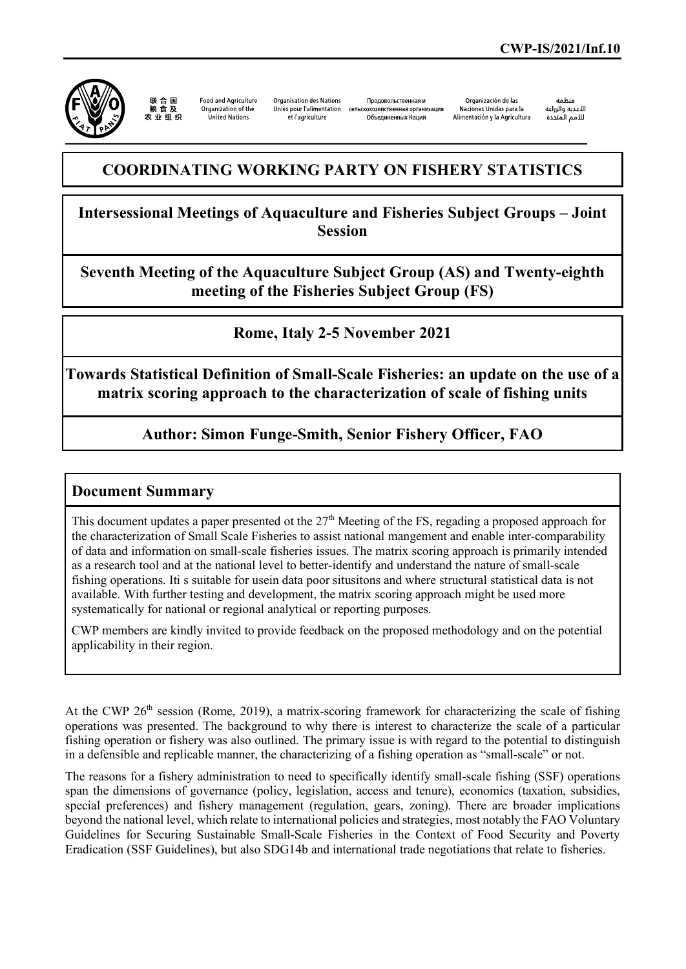

联合国<br>粮食及 **Food and Agriculture** Organization of the 农业组织 United Nations

Organisation des Nations et l'agriculture

Продовольственная и Unies pour l'alimentation сельскохозяйственная организация Объединенных Наций

Organización de las Naciones Unidas para la Alimentación y la Agricultura

منظمة الأغذية والزراعة للأمم المتحدة

## **COORDINATING WORKING PARTY ON FISHERY STATISTICS**

**Intersessional Meetings of Aquaculture and Fisheries Subject Groups – Joint Session**

**Seventh Meeting of the Aquaculture Subject Group (AS) and Twenty-eighth meeting of the Fisheries Subject Group (FS)**

**Rome, Italy 2-5 November 2021**

**Towards Statistical Definition of Small-Scale Fisheries: an update on the use of a matrix scoring approach to the characterization of scale of fishing units**

**Author: Simon Funge-Smith, Senior Fishery Officer, FAO**

## **Document Summary**

This document updates a paper presented ot the  $27<sup>th</sup>$  Meeting of the FS, regading a proposed approach for the characterization of Small Scale Fisheries to assist national mangement and enable inter-comparability of data and information on small-scale fisheries issues. The matrix scoring approach is primarily intended as a research tool and at the national level to better-identify and understand the nature of small-scale fishing operations. Iti s suitable for usein data poor situsitons and where structural statistical data is not available. With further testing and development, the matrix scoring approach might be used more systematically for national or regional analytical or reporting purposes.

CWP members are kindly invited to provide feedback on the proposed methodology and on the potential applicability in their region.

At the CWP  $26<sup>th</sup>$  session (Rome, 2019), a matrix-scoring framework for characterizing the scale of fishing operations was presented. The background to why there is interest to characterize the scale of a particular fishing operation or fishery was also outlined. The primary issue is with regard to the potential to distinguish in a defensible and replicable manner, the characterizing of a fishing operation as "small-scale" or not.

The reasons for a fishery administration to need to specifically identify small-scale fishing (SSF) operations span the dimensions of governance (policy, legislation, access and tenure), economics (taxation, subsidies, special preferences) and fishery management (regulation, gears, zoning). There are broader implications beyond the national level, which relate to international policies and strategies, most notably the FAO Voluntary Guidelines for Securing Sustainable Small-Scale Fisheries in the Context of Food Security and Poverty Eradication (SSF Guidelines), but also SDG14b and international trade negotiations that relate to fisheries.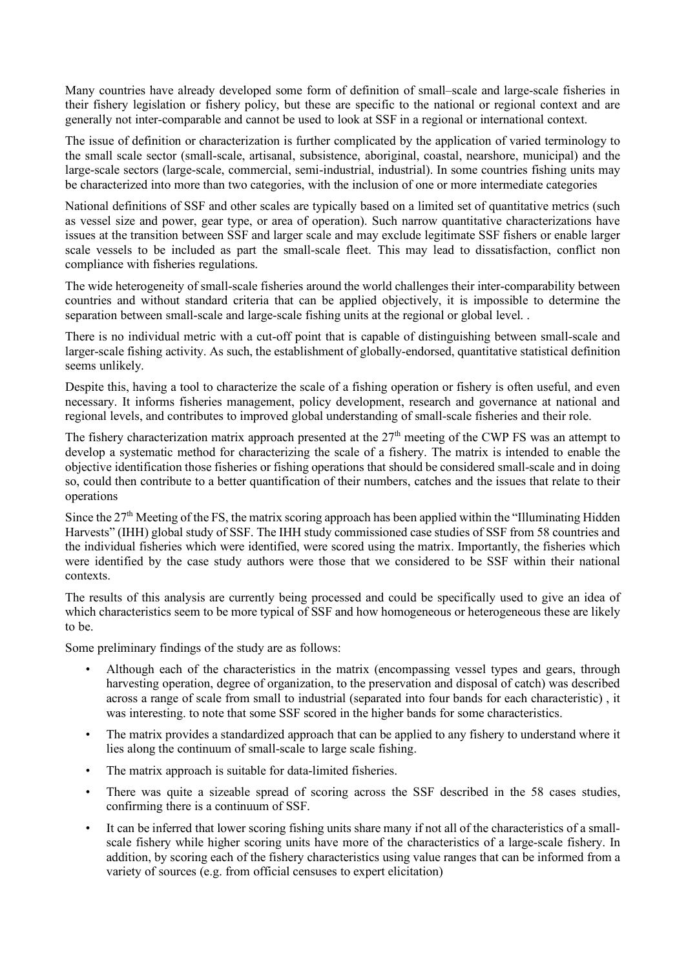Many countries have already developed some form of definition of small–scale and large-scale fisheries in their fishery legislation or fishery policy, but these are specific to the national or regional context and are generally not inter-comparable and cannot be used to look at SSF in a regional or international context.

The issue of definition or characterization is further complicated by the application of varied terminology to the small scale sector (small-scale, artisanal, subsistence, aboriginal, coastal, nearshore, municipal) and the large-scale sectors (large-scale, commercial, semi-industrial, industrial). In some countries fishing units may be characterized into more than two categories, with the inclusion of one or more intermediate categories

National definitions of SSF and other scales are typically based on a limited set of quantitative metrics (such as vessel size and power, gear type, or area of operation). Such narrow quantitative characterizations have issues at the transition between SSF and larger scale and may exclude legitimate SSF fishers or enable larger scale vessels to be included as part the small-scale fleet. This may lead to dissatisfaction, conflict non compliance with fisheries regulations.

The wide heterogeneity of small-scale fisheries around the world challenges their inter-comparability between countries and without standard criteria that can be applied objectively, it is impossible to determine the separation between small-scale and large-scale fishing units at the regional or global level. .

There is no individual metric with a cut-off point that is capable of distinguishing between small-scale and larger-scale fishing activity. As such, the establishment of globally-endorsed, quantitative statistical definition seems unlikely.

Despite this, having a tool to characterize the scale of a fishing operation or fishery is often useful, and even necessary. It informs fisheries management, policy development, research and governance at national and regional levels, and contributes to improved global understanding of small-scale fisheries and their role.

The fishery characterization matrix approach presented at the  $27<sup>th</sup>$  meeting of the CWP FS was an attempt to develop a systematic method for characterizing the scale of a fishery. The matrix is intended to enable the objective identification those fisheries or fishing operations that should be considered small-scale and in doing so, could then contribute to a better quantification of their numbers, catches and the issues that relate to their operations

Since the  $27<sup>th</sup>$  Meeting of the FS, the matrix scoring approach has been applied within the "Illuminating Hidden Harvests" (IHH) global study of SSF. The IHH study commissioned case studies of SSF from 58 countries and the individual fisheries which were identified, were scored using the matrix. Importantly, the fisheries which were identified by the case study authors were those that we considered to be SSF within their national contexts.

The results of this analysis are currently being processed and could be specifically used to give an idea of which characteristics seem to be more typical of SSF and how homogeneous or heterogeneous these are likely to be.

Some preliminary findings of the study are as follows:

- Although each of the characteristics in the matrix (encompassing vessel types and gears, through harvesting operation, degree of organization, to the preservation and disposal of catch) was described across a range of scale from small to industrial (separated into four bands for each characteristic) , it was interesting. to note that some SSF scored in the higher bands for some characteristics.
- The matrix provides a standardized approach that can be applied to any fishery to understand where it lies along the continuum of small-scale to large scale fishing.
- The matrix approach is suitable for data-limited fisheries.
- There was quite a sizeable spread of scoring across the SSF described in the 58 cases studies, confirming there is a continuum of SSF.
- It can be inferred that lower scoring fishing units share many if not all of the characteristics of a smallscale fishery while higher scoring units have more of the characteristics of a large-scale fishery. In addition, by scoring each of the fishery characteristics using value ranges that can be informed from a variety of sources (e.g. from official censuses to expert elicitation)